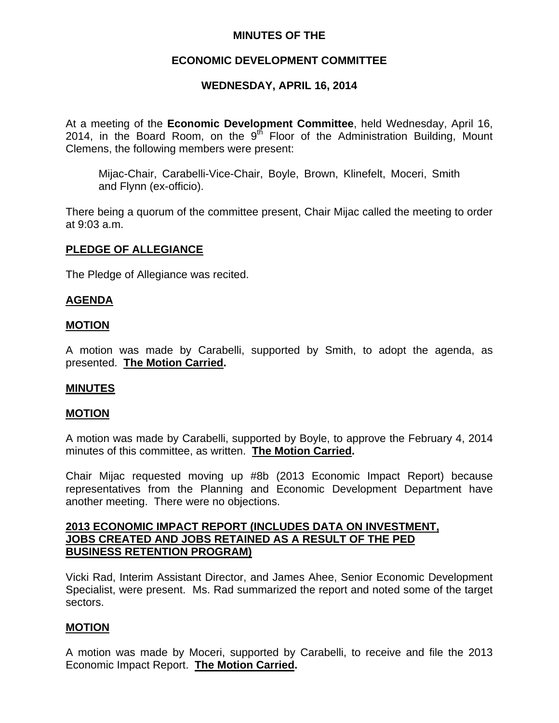## **MINUTES OF THE**

## **ECONOMIC DEVELOPMENT COMMITTEE**

## **WEDNESDAY, APRIL 16, 2014**

At a meeting of the **Economic Development Committee**, held Wednesday, April 16, 2014, in the Board Room, on the  $9<sup>th</sup>$  Floor of the Administration Building, Mount Clemens, the following members were present:

Mijac-Chair, Carabelli-Vice-Chair, Boyle, Brown, Klinefelt, Moceri, Smith and Flynn (ex-officio).

There being a quorum of the committee present, Chair Mijac called the meeting to order at 9:03 a.m.

### **PLEDGE OF ALLEGIANCE**

The Pledge of Allegiance was recited.

### **AGENDA**

#### **MOTION**

A motion was made by Carabelli, supported by Smith, to adopt the agenda, as presented. **The Motion Carried.** 

### **MINUTES**

### **MOTION**

A motion was made by Carabelli, supported by Boyle, to approve the February 4, 2014 minutes of this committee, as written. **The Motion Carried.** 

Chair Mijac requested moving up #8b (2013 Economic Impact Report) because representatives from the Planning and Economic Development Department have another meeting. There were no objections.

### **2013 ECONOMIC IMPACT REPORT (INCLUDES DATA ON INVESTMENT, JOBS CREATED AND JOBS RETAINED AS A RESULT OF THE PED BUSINESS RETENTION PROGRAM)**

Vicki Rad, Interim Assistant Director, and James Ahee, Senior Economic Development Specialist, were present. Ms. Rad summarized the report and noted some of the target sectors.

### **MOTION**

A motion was made by Moceri, supported by Carabelli, to receive and file the 2013 Economic Impact Report. **The Motion Carried.**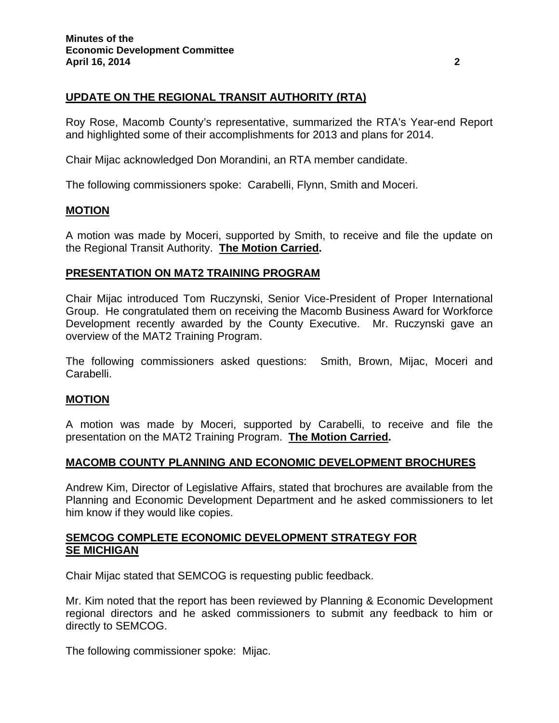# **UPDATE ON THE REGIONAL TRANSIT AUTHORITY (RTA)**

Roy Rose, Macomb County's representative, summarized the RTA's Year-end Report and highlighted some of their accomplishments for 2013 and plans for 2014.

Chair Mijac acknowledged Don Morandini, an RTA member candidate.

The following commissioners spoke: Carabelli, Flynn, Smith and Moceri.

### **MOTION**

A motion was made by Moceri, supported by Smith, to receive and file the update on the Regional Transit Authority. **The Motion Carried.** 

#### **PRESENTATION ON MAT2 TRAINING PROGRAM**

Chair Mijac introduced Tom Ruczynski, Senior Vice-President of Proper International Group. He congratulated them on receiving the Macomb Business Award for Workforce Development recently awarded by the County Executive. Mr. Ruczynski gave an overview of the MAT2 Training Program.

The following commissioners asked questions: Smith, Brown, Mijac, Moceri and Carabelli.

### **MOTION**

A motion was made by Moceri, supported by Carabelli, to receive and file the presentation on the MAT2 Training Program. **The Motion Carried.** 

### **MACOMB COUNTY PLANNING AND ECONOMIC DEVELOPMENT BROCHURES**

Andrew Kim, Director of Legislative Affairs, stated that brochures are available from the Planning and Economic Development Department and he asked commissioners to let him know if they would like copies.

### **SEMCOG COMPLETE ECONOMIC DEVELOPMENT STRATEGY FOR SE MICHIGAN**

Chair Mijac stated that SEMCOG is requesting public feedback.

Mr. Kim noted that the report has been reviewed by Planning & Economic Development regional directors and he asked commissioners to submit any feedback to him or directly to SEMCOG.

The following commissioner spoke: Mijac.